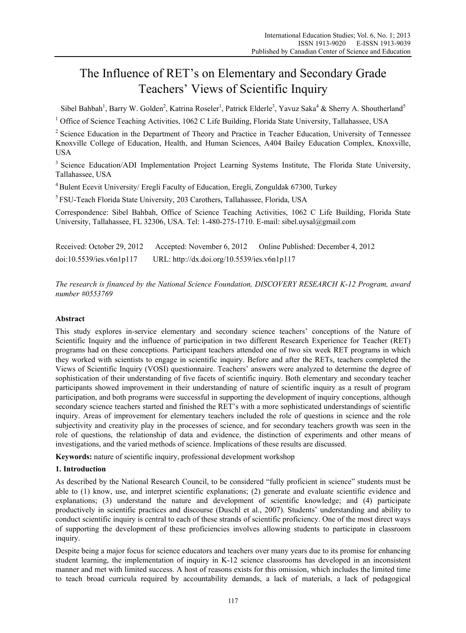# The Influence of RET's on Elementary and Secondary Grade Teachers' Views of Scientific Inquiry

Sibel Bahbah<sup>1</sup>, Barry W. Golden<sup>2</sup>, Katrina Roseler<sup>1</sup>, Patrick Elderle<sup>3</sup>, Yavuz Saka<sup>4</sup> & Sherry A. Shoutherland<sup>5</sup>

<sup>1</sup> Office of Science Teaching Activities, 1062 C Life Building, Florida State University, Tallahassee, USA

<sup>2</sup> Science Education in the Department of Theory and Practice in Teacher Education, University of Tennessee Knoxville College of Education, Health, and Human Sciences, A404 Bailey Education Complex, Knoxville, **USA** 

<sup>3</sup> Science Education/ADI Implementation Project Learning Systems Institute, The Florida State University, Tallahassee, USA

4 Bulent Ecevit University/ Eregli Faculty of Education, Eregli, Zonguldak 67300, Turkey

5 FSU-Teach Florida State University, 203 Carothers, Tallahassee, Florida, USA

Correspondence: Sibel Bahbah, Office of Science Teaching Activities, 1062 C Life Building, Florida State University, Tallahassee, FL 32306, USA. Tel: 1-480-275-1710. E-mail: sibel.uysal@gmail.com

Received: October 29, 2012 Accepted: November 6, 2012 Online Published: December 4, 2012 doi:10.5539/ies.v6n1p117 URL: http://dx.doi.org/10.5539/ies.v6n1p117

*The research is financed by the National Science Foundation, DISCOVERY RESEARCH K-12 Program, award number #0553769* 

## **Abstract**

This study explores in-service elementary and secondary science teachers' conceptions of the Nature of Scientific Inquiry and the influence of participation in two different Research Experience for Teacher (RET) programs had on these conceptions. Participant teachers attended one of two six week RET programs in which they worked with scientists to engage in scientific inquiry. Before and after the RETs, teachers completed the Views of Scientific Inquiry (VOSI) questionnaire. Teachers' answers were analyzed to determine the degree of sophistication of their understanding of five facets of scientific inquiry. Both elementary and secondary teacher participants showed improvement in their understanding of nature of scientific inquiry as a result of program participation, and both programs were successful in supporting the development of inquiry conceptions, although secondary science teachers started and finished the RET's with a more sophisticated understandings of scientific inquiry. Areas of improvement for elementary teachers included the role of questions in science and the role subjectivity and creativity play in the processes of science, and for secondary teachers growth was seen in the role of questions, the relationship of data and evidence, the distinction of experiments and other means of investigations, and the varied methods of science. Implications of these results are discussed.

**Keywords:** nature of scientific inquiry, professional development workshop

## **1. Introduction**

As described by the National Research Council, to be considered "fully proficient in science" students must be able to (1) know, use, and interpret scientific explanations; (2) generate and evaluate scientific evidence and explanations; (3) understand the nature and development of scientific knowledge; and (4) participate productively in scientific practices and discourse (Duschl et al., 2007). Students' understanding and ability to conduct scientific inquiry is central to each of these strands of scientific proficiency. One of the most direct ways of supporting the development of these proficiencies involves allowing students to participate in classroom inquiry.

Despite being a major focus for science educators and teachers over many years due to its promise for enhancing student learning, the implementation of inquiry in K-12 science classrooms has developed in an inconsistent manner and met with limited success. A host of reasons exists for this omission, which includes the limited time to teach broad curricula required by accountability demands, a lack of materials, a lack of pedagogical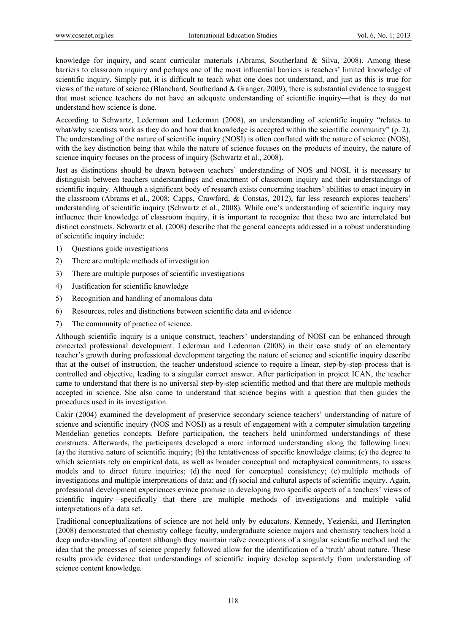knowledge for inquiry, and scant curricular materials (Abrams, Southerland & Silva, 2008). Among these barriers to classroom inquiry and perhaps one of the most influential barriers is teachers' limited knowledge of scientific inquiry. Simply put, it is difficult to teach what one does not understand, and just as this is true for views of the nature of science (Blanchard, Southerland & Granger, 2009), there is substantial evidence to suggest that most science teachers do not have an adequate understanding of scientific inquiry—that is they do not understand how science is done.

According to Schwartz, Lederman and Lederman (2008), an understanding of scientific inquiry "relates to what/why scientists work as they do and how that knowledge is accepted within the scientific community" (p. 2). The understanding of the nature of scientific inquiry (NOSI) is often conflated with the nature of science (NOS), with the key distinction being that while the nature of science focuses on the products of inquiry, the nature of science inquiry focuses on the process of inquiry (Schwartz et al., 2008).

Just as distinctions should be drawn between teachers' understanding of NOS and NOSI, it is necessary to distinguish between teachers understandings and enactment of classroom inquiry and their understandings of scientific inquiry. Although a significant body of research exists concerning teachers' abilities to enact inquiry in the classroom (Abrams et al., 2008; Capps, Crawford, & Constas, 2012), far less research explores teachers' understanding of scientific inquiry (Schwartz et al., 2008). While one's understanding of scientific inquiry may influence their knowledge of classroom inquiry, it is important to recognize that these two are interrelated but distinct constructs. Schwartz et al. (2008) describe that the general concepts addressed in a robust understanding of scientific inquiry include:

- 1) Questions guide investigations
- 2) There are multiple methods of investigation
- 3) There are multiple purposes of scientific investigations
- 4) Justification for scientific knowledge
- 5) Recognition and handling of anomalous data
- 6) Resources, roles and distinctions between scientific data and evidence
- 7) The community of practice of science.

Although scientific inquiry is a unique construct, teachers' understanding of NOSI can be enhanced through concerted professional development. Lederman and Lederman (2008) in their case study of an elementary teacher's growth during professional development targeting the nature of science and scientific inquiry describe that at the outset of instruction, the teacher understood science to require a linear, step-by-step process that is controlled and objective, leading to a singular correct answer. After participation in project ICAN, the teacher came to understand that there is no universal step-by-step scientific method and that there are multiple methods accepted in science. She also came to understand that science begins with a question that then guides the procedures used in its investigation.

Cakir (2004) examined the development of preservice secondary science teachers' understanding of nature of science and scientific inquiry (NOS and NOSI) as a result of engagement with a computer simulation targeting Mendelian genetics concepts. Before participation, the teachers held uninformed understandings of these constructs. Afterwards, the participants developed a more informed understanding along the following lines: (a) the iterative nature of scientific inquiry; (b) the tentativeness of specific knowledge claims; (c) the degree to which scientists rely on empirical data, as well as broader conceptual and metaphysical commitments, to assess models and to direct future inquiries; (d) the need for conceptual consistency; (e) multiple methods of investigations and multiple interpretations of data; and (f) social and cultural aspects of scientific inquiry. Again, professional development experiences evince promise in developing two specific aspects of a teachers' views of scientific inquiry—specifically that there are multiple methods of investigations and multiple valid interpretations of a data set.

Traditional conceptualizations of science are not held only by educators. Kennedy, Yezierski, and Herrington (2008) demonstrated that chemistry college faculty, undergraduate science majors and chemistry teachers hold a deep understanding of content although they maintain naïve conceptions of a singular scientific method and the idea that the processes of science properly followed allow for the identification of a 'truth' about nature. These results provide evidence that understandings of scientific inquiry develop separately from understanding of science content knowledge.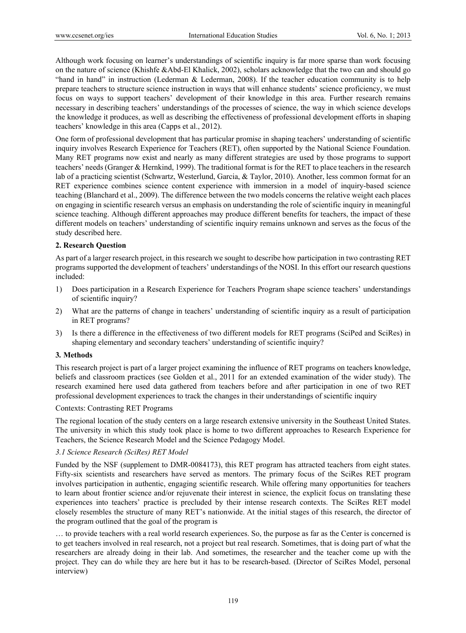Although work focusing on learner's understandings of scientific inquiry is far more sparse than work focusing on the nature of science (Khishfe &Abd-El Khalick, 2002), scholars acknowledge that the two can and should go "hand in hand" in instruction (Lederman & Lederman, 2008). If the teacher education community is to help prepare teachers to structure science instruction in ways that will enhance students' science proficiency, we must focus on ways to support teachers' development of their knowledge in this area. Further research remains necessary in describing teachers' understandings of the processes of science, the way in which science develops the knowledge it produces, as well as describing the effectiveness of professional development efforts in shaping teachers' knowledge in this area (Capps et al., 2012).

One form of professional development that has particular promise in shaping teachers' understanding of scientific inquiry involves Research Experience for Teachers (RET), often supported by the National Science Foundation. Many RET programs now exist and nearly as many different strategies are used by those programs to support teachers' needs (Granger & Hernkind, 1999). The traditional format is for the RET to place teachers in the research lab of a practicing scientist (Schwartz, Westerlund, Garcia, & Taylor, 2010). Another, less common format for an RET experience combines science content experience with immersion in a model of inquiry-based science teaching (Blanchard et al., 2009). The difference between the two models concerns the relative weight each places on engaging in scientific research versus an emphasis on understanding the role of scientific inquiry in meaningful science teaching. Although different approaches may produce different benefits for teachers, the impact of these different models on teachers' understanding of scientific inquiry remains unknown and serves as the focus of the study described here.

## **2. Research Question**

As part of a larger research project, in this research we sought to describe how participation in two contrasting RET programs supported the development of teachers' understandings of the NOSI. In this effort our research questions included:

- 1) Does participation in a Research Experience for Teachers Program shape science teachers' understandings of scientific inquiry?
- 2) What are the patterns of change in teachers' understanding of scientific inquiry as a result of participation in RET programs?
- 3) Is there a difference in the effectiveness of two different models for RET programs (SciPed and SciRes) in shaping elementary and secondary teachers' understanding of scientific inquiry?

## **3***.* **Methods**

This research project is part of a larger project examining the influence of RET programs on teachers knowledge, beliefs and classroom practices (see Golden et al., 2011 for an extended examination of the wider study). The research examined here used data gathered from teachers before and after participation in one of two RET professional development experiences to track the changes in their understandings of scientific inquiry

## Contexts: Contrasting RET Programs

The regional location of the study centers on a large research extensive university in the Southeast United States. The university in which this study took place is home to two different approaches to Research Experience for Teachers, the Science Research Model and the Science Pedagogy Model.

## *3.1 Science Research (SciRes) RET Model*

Funded by the NSF (supplement to DMR-0084173), this RET program has attracted teachers from eight states. Fifty-six scientists and researchers have served as mentors. The primary focus of the SciRes RET program involves participation in authentic, engaging scientific research. While offering many opportunities for teachers to learn about frontier science and/or rejuvenate their interest in science, the explicit focus on translating these experiences into teachers' practice is precluded by their intense research contexts. The SciRes RET model closely resembles the structure of many RET's nationwide. At the initial stages of this research, the director of the program outlined that the goal of the program is

… to provide teachers with a real world research experiences. So, the purpose as far as the Center is concerned is to get teachers involved in real research, not a project but real research. Sometimes, that is doing part of what the researchers are already doing in their lab. And sometimes, the researcher and the teacher come up with the project. They can do while they are here but it has to be research-based. (Director of SciRes Model, personal interview)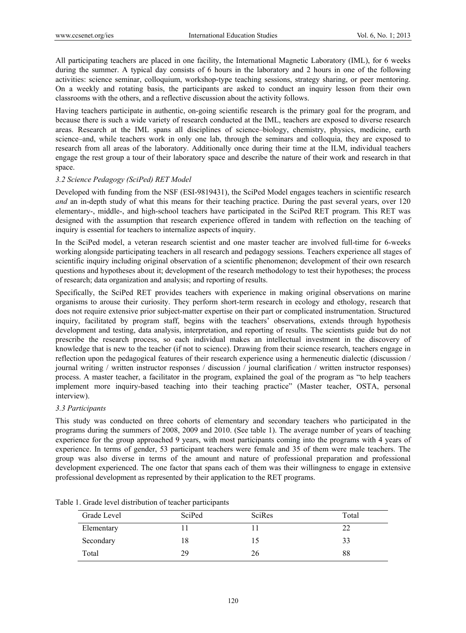All participating teachers are placed in one facility, the International Magnetic Laboratory (IML), for 6 weeks during the summer. A typical day consists of 6 hours in the laboratory and 2 hours in one of the following activities: science seminar, colloquium, workshop-type teaching sessions, strategy sharing, or peer mentoring. On a weekly and rotating basis, the participants are asked to conduct an inquiry lesson from their own classrooms with the others, and a reflective discussion about the activity follows.

Having teachers participate in authentic, on-going scientific research is the primary goal for the program, and because there is such a wide variety of research conducted at the IML, teachers are exposed to diverse research areas. Research at the IML spans all disciplines of science–biology, chemistry, physics, medicine, earth science–and, while teachers work in only one lab, through the seminars and colloquia, they are exposed to research from all areas of the laboratory. Additionally once during their time at the ILM, individual teachers engage the rest group a tour of their laboratory space and describe the nature of their work and research in that space.

## *3.2 Science Pedagogy (SciPed) RET Model*

Developed with funding from the NSF (ESI-9819431), the SciPed Model engages teachers in scientific research *and* an in-depth study of what this means for their teaching practice. During the past several years, over 120 elementary-, middle-, and high-school teachers have participated in the SciPed RET program. This RET was designed with the assumption that research experience offered in tandem with reflection on the teaching of inquiry is essential for teachers to internalize aspects of inquiry.

In the SciPed model, a veteran research scientist and one master teacher are involved full-time for 6-weeks working alongside participating teachers in all research and pedagogy sessions. Teachers experience all stages of scientific inquiry including original observation of a scientific phenomenon; development of their own research questions and hypotheses about it; development of the research methodology to test their hypotheses; the process of research; data organization and analysis; and reporting of results.

Specifically, the SciPed RET provides teachers with experience in making original observations on marine organisms to arouse their curiosity. They perform short-term research in ecology and ethology, research that does not require extensive prior subject-matter expertise on their part or complicated instrumentation. Structured inquiry, facilitated by program staff, begins with the teachers' observations, extends through hypothesis development and testing, data analysis, interpretation, and reporting of results. The scientists guide but do not prescribe the research process, so each individual makes an intellectual investment in the discovery of knowledge that is new to the teacher (if not to science). Drawing from their science research, teachers engage in reflection upon the pedagogical features of their research experience using a hermeneutic dialectic (discussion / journal writing / written instructor responses / discussion / journal clarification / written instructor responses) process. A master teacher, a facilitator in the program, explained the goal of the program as "to help teachers implement more inquiry-based teaching into their teaching practice" (Master teacher, OSTA, personal interview).

## *3.3 Participants*

This study was conducted on three cohorts of elementary and secondary teachers who participated in the programs during the summers of 2008, 2009 and 2010. (See table 1). The average number of years of teaching experience for the group approached 9 years, with most participants coming into the programs with 4 years of experience. In terms of gender, 53 participant teachers were female and 35 of them were male teachers. The group was also diverse in terms of the amount and nature of professional preparation and professional development experienced. The one factor that spans each of them was their willingness to engage in extensive professional development as represented by their application to the RET programs.

| Grade Level | SciPed | <b>SciRes</b> | Total |
|-------------|--------|---------------|-------|
| Elementary  |        |               | 22    |
| Secondary   | 18     |               | 33    |
| Total       | 29     | 26            | 88    |
|             |        |               |       |

Table 1. Grade level distribution of teacher participants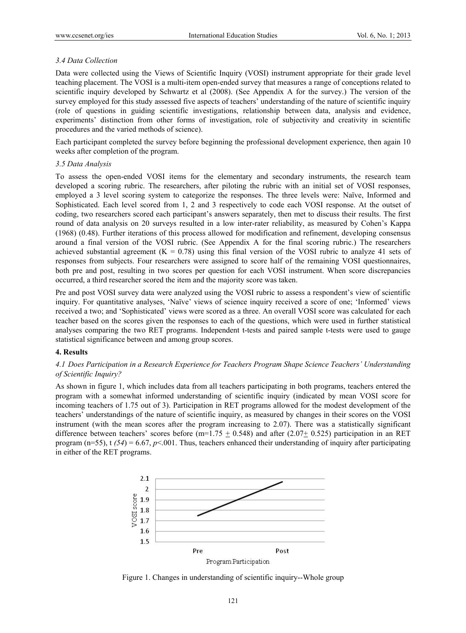## *3.4 Data Collection*

Data were collected using the Views of Scientific Inquiry (VOSI) instrument appropriate for their grade level teaching placement. The VOSI is a multi-item open-ended survey that measures a range of conceptions related to scientific inquiry developed by Schwartz et al (2008). (See Appendix A for the survey.) The version of the survey employed for this study assessed five aspects of teachers' understanding of the nature of scientific inquiry (role of questions in guiding scientific investigations, relationship between data, analysis and evidence, experiments' distinction from other forms of investigation, role of subjectivity and creativity in scientific procedures and the varied methods of science).

Each participant completed the survey before beginning the professional development experience, then again 10 weeks after completion of the program.

## *3.5 Data Analysis*

To assess the open-ended VOSI items for the elementary and secondary instruments, the research team developed a scoring rubric. The researchers, after piloting the rubric with an initial set of VOSI responses, employed a 3 level scoring system to categorize the responses. The three levels were: Naïve, Informed and Sophisticated. Each level scored from 1, 2 and 3 respectively to code each VOSI response. At the outset of coding, two researchers scored each participant's answers separately, then met to discuss their results. The first round of data analysis on 20 surveys resulted in a low inter-rater reliability, as measured by Cohen's Kappa (1968) (0.48). Further iterations of this process allowed for modification and refinement, developing consensus around a final version of the VOSI rubric. (See Appendix A for the final scoring rubric.) The researchers achieved substantial agreement (K =  $0.78$ ) using this final version of the VOSI rubric to analyze 41 sets of responses from subjects. Four researchers were assigned to score half of the remaining VOSI questionnaires, both pre and post, resulting in two scores per question for each VOSI instrument. When score discrepancies occurred, a third researcher scored the item and the majority score was taken.

Pre and post VOSI survey data were analyzed using the VOSI rubric to assess a respondent's view of scientific inquiry. For quantitative analyses, 'Naïve' views of science inquiry received a score of one; 'Informed' views received a two; and 'Sophisticated' views were scored as a three. An overall VOSI score was calculated for each teacher based on the scores given the responses to each of the questions, which were used in further statistical analyses comparing the two RET programs. Independent t-tests and paired sample t-tests were used to gauge statistical significance between and among group scores.

## **4. Results**

# *4.1 Does Participation in a Research Experience for Teachers Program Shape Science Teachers' Understanding of Scientific Inquiry?*

As shown in figure 1, which includes data from all teachers participating in both programs, teachers entered the program with a somewhat informed understanding of scientific inquiry (indicated by mean VOSI score for incoming teachers of 1.75 out of 3). Participation in RET programs allowed for the modest development of the teachers' understandings of the nature of scientific inquiry, as measured by changes in their scores on the VOSI instrument (with the mean scores after the program increasing to 2.07). There was a statistically significant difference between teachers' scores before (m=1.75  $\pm$  0.548) and after (2.07 $\pm$  0.525) participation in an RET program ( $n=55$ ),  $t/54$ ) = 6.67,  $p<001$ . Thus, teachers enhanced their understanding of inquiry after participating in either of the RET programs.



Figure 1. Changes in understanding of scientific inquiry--Whole group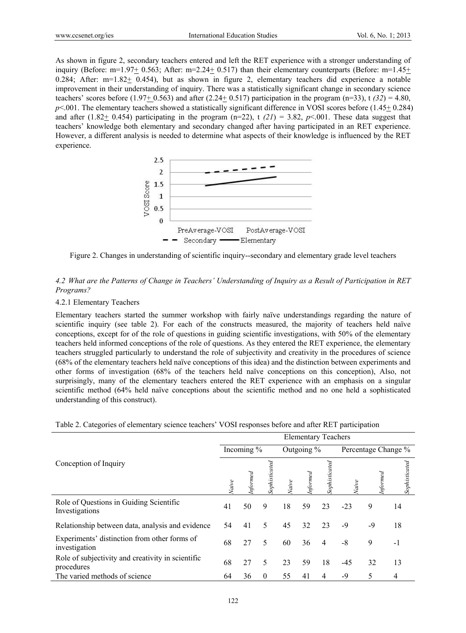As shown in figure 2, secondary teachers entered and left the RET experience with a stronger understanding of inquiry (Before: m=1.97+ 0.563; After: m=2.24+ 0.517) than their elementary counterparts (Before: m=1.45+ 0.284; After: m=1.82+ 0.454), but as shown in figure 2, elementary teachers did experience a notable improvement in their understanding of inquiry. There was a statistically significant change in secondary science teachers' scores before (1.97 $\pm$  0.563) and after (2.24 $\pm$  0.517) participation in the program (n=33), t (32) = 4.80, *p*<.001. The elementary teachers showed a statistically significant difference in VOSI scores before (1.45+ 0.284) and after (1.82+ 0.454) participating in the program  $(n=22)$ ,  $t(21) = 3.82$ ,  $p<.001$ . These data suggest that teachers' knowledge both elementary and secondary changed after having participated in an RET experience. However, a different analysis is needed to determine what aspects of their knowledge is influenced by the RET experience.



Figure 2. Changes in understanding of scientific inquiry--secondary and elementary grade level teachers

# *4.2 What are the Patterns of Change in Teachers' Understanding of Inquiry as a Result of Participation in RET Programs?*

## 4.2.1 Elementary Teachers

Elementary teachers started the summer workshop with fairly naïve understandings regarding the nature of scientific inquiry (see table 2). For each of the constructs measured, the majority of teachers held naïve conceptions, except for of the role of questions in guiding scientific investigations, with 50% of the elementary teachers held informed conceptions of the role of questions. As they entered the RET experience, the elementary teachers struggled particularly to understand the role of subjectivity and creativity in the procedures of science (68% of the elementary teachers held naïve conceptions of this idea) and the distinction between experiments and other forms of investigation (68% of the teachers held naïve conceptions on this conception), Also, not surprisingly, many of the elementary teachers entered the RET experience with an emphasis on a singular scientific method (64% held naïve conceptions about the scientific method and no one held a sophisticated understanding of this construct).

Table 2. Categories of elementary science teachers' VOSI responses before and after RET participation

|                                                                 | <b>Elementary Teachers</b> |         |               |            |         |                |                     |          |               |  |
|-----------------------------------------------------------------|----------------------------|---------|---------------|------------|---------|----------------|---------------------|----------|---------------|--|
|                                                                 | Incoming %                 |         |               | Outgoing % |         |                | Percentage Change % |          |               |  |
| Conception of Inquiry                                           | Vaive                      | nformed | Sophisticated | Vaive      | mformed | Sophisticated  | Vaive               | Informed | Sophisticated |  |
| Role of Questions in Guiding Scientific<br>Investigations       | 41                         | 50      | 9             | 18         | 59      | 23             | $-23$               | 9        | 14            |  |
| Relationship between data, analysis and evidence                | 54                         | 41      | 5             | 45         | 32      | 23             | $-9$                | $-9$     | 18            |  |
| Experiments' distinction from other forms of<br>investigation   | 68                         | 27      | 5             | 60         | 36      | $\overline{4}$ | -8                  | 9        | $-1$          |  |
| Role of subjectivity and creativity in scientific<br>procedures | 68                         | 27      | 5             | 23         | 59      | 18             | $-45$               | 32       | 13            |  |
| The varied methods of science                                   | 64                         | 36      | $\theta$      | 55         | 41      | 4              | -9                  | 5        | 4             |  |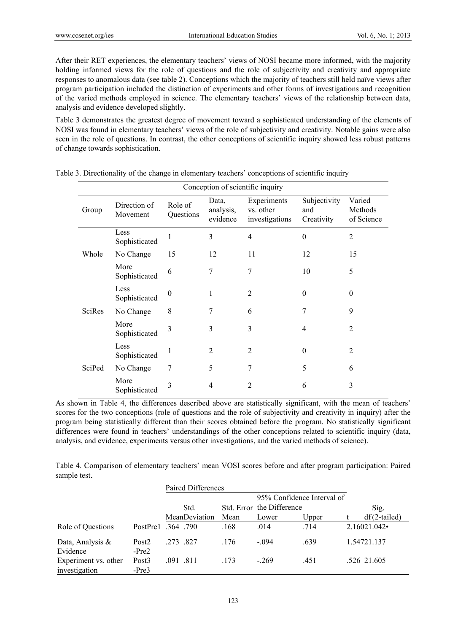After their RET experiences, the elementary teachers' views of NOSI became more informed, with the majority holding informed views for the role of questions and the role of subjectivity and creativity and appropriate responses to anomalous data (see table 2). Conceptions which the majority of teachers still held naïve views after program participation included the distinction of experiments and other forms of investigations and recognition of the varied methods employed in science. The elementary teachers' views of the relationship between data, analysis and evidence developed slightly.

Table 3 demonstrates the greatest degree of movement toward a sophisticated understanding of the elements of NOSI was found in elementary teachers' views of the role of subjectivity and creativity. Notable gains were also seen in the role of questions. In contrast, the other conceptions of scientific inquiry showed less robust patterns of change towards sophistication.

|        | Conception of scientific inquiry |                      |                                |                                            |                                   |                                 |  |  |
|--------|----------------------------------|----------------------|--------------------------------|--------------------------------------------|-----------------------------------|---------------------------------|--|--|
| Group  | Direction of<br>Movement         | Role of<br>Questions | Data,<br>analysis,<br>evidence | Experiments<br>vs. other<br>investigations | Subjectivity<br>and<br>Creativity | Varied<br>Methods<br>of Science |  |  |
|        | Less<br>Sophisticated            |                      | 3                              | 4                                          | $\boldsymbol{0}$                  | $\overline{2}$                  |  |  |
| Whole  | No Change                        | 15                   | 12                             | 11                                         | 12                                | 15                              |  |  |
|        | More<br>Sophisticated            | 6                    | 7                              | 7                                          | 10                                | 5                               |  |  |
|        | Less<br>Sophisticated            | $\theta$             | 1                              | $\overline{2}$                             | $\theta$                          | $\theta$                        |  |  |
| SciRes | No Change                        | 8                    | 7                              | 6                                          | 7                                 | 9                               |  |  |
|        | More<br>Sophisticated            | 3                    | 3                              | 3                                          | 4                                 | 2                               |  |  |
|        | Less<br>Sophisticated            |                      | $\overline{c}$                 | $\overline{2}$                             | $\theta$                          | $\overline{c}$                  |  |  |
| SciPed | No Change                        | 7                    | 5                              | 7                                          | 5                                 | 6                               |  |  |
|        | More<br>Sophisticated            | 3                    | 4                              | $\overline{2}$                             | 6                                 | 3                               |  |  |

Table 3. Directionality of the change in elementary teachers' conceptions of scientific inquiry

As shown in Table 4, the differences described above are statistically significant, with the mean of teachers' scores for the two conceptions (role of questions and the role of subjectivity and creativity in inquiry) after the program being statistically different than their scores obtained before the program. No statistically significant differences were found in teachers' understandings of the other conceptions related to scientific inquiry (data, analysis, and evidence, experiments versus other investigations, and the varied methods of science).

Table 4. Comparison of elementary teachers' mean VOSI scores before and after program participation: Paired sample test.

|                                       |                              |                    | Paired Differences         |                           |       |                     |  |  |
|---------------------------------------|------------------------------|--------------------|----------------------------|---------------------------|-------|---------------------|--|--|
|                                       |                              |                    | 95% Confidence Interval of |                           |       |                     |  |  |
|                                       |                              | Std.               |                            | Std. Error the Difference |       | Sig.                |  |  |
|                                       |                              | MeanDeviation      | Mean                       | Lower                     | Upper | $df(2-tailed)$      |  |  |
| Role of Questions                     |                              | PostPre1 .364 .790 | .168                       | .014                      | .714  | $2.16021.042 \cdot$ |  |  |
| Data, Analysis &<br>Evidence          | Post <sub>2</sub><br>$-Pre2$ | .273.827           | .176                       | $-.094$                   | .639  | 1.54721.137         |  |  |
| Experiment vs. other<br>investigation | Post3<br>$-Pre3$             | $.091$ $.811$      | -173                       | $-269$                    | .451  | .526 21.605         |  |  |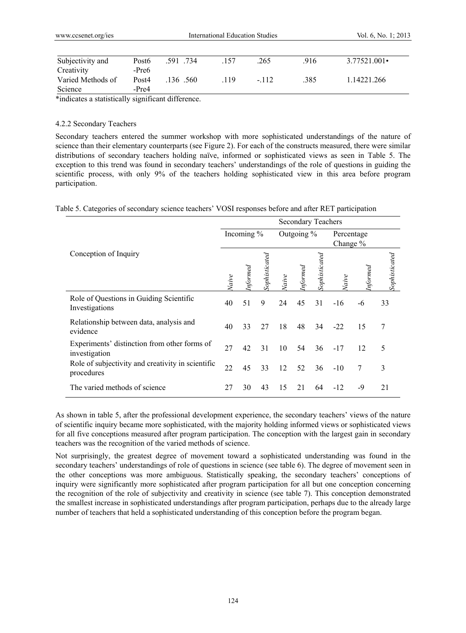| Subjectivity and  | Post6   | .591.734  |     | .265  | .916 | $3.77521.001 \cdot$ |
|-------------------|---------|-----------|-----|-------|------|---------------------|
| Creativity        | -Pre6   |           |     |       |      |                     |
| Varied Methods of | Post4   | .136 .560 | 119 | - 112 | .385 | 1.14221.266         |
| Science           | $-Pre4$ |           |     |       |      |                     |

\*indicates a statistically significant difference.

## 4.2.2 Secondary Teachers

Secondary teachers entered the summer workshop with more sophisticated understandings of the nature of science than their elementary counterparts (see Figure 2). For each of the constructs measured, there were similar distributions of secondary teachers holding naïve, informed or sophisticated views as seen in Table 5. The exception to this trend was found in secondary teachers' understandings of the role of questions in guiding the scientific process, with only 9% of the teachers holding sophisticated view in this area before program participation.

|  | Table 5. Categories of secondary science teachers' VOSI responses before and after RET participation |  |  |
|--|------------------------------------------------------------------------------------------------------|--|--|
|  |                                                                                                      |  |  |

|                                                                 | <b>Secondary Teachers</b> |            |               |       |            |               |       |                        |               |
|-----------------------------------------------------------------|---------------------------|------------|---------------|-------|------------|---------------|-------|------------------------|---------------|
| Conception of Inquiry                                           |                           | Incoming % |               |       | Outgoing % |               |       | Percentage<br>Change % |               |
|                                                                 |                           | nformed    | Sophisticated | Naive | nformed    | Sophisticated | Naive | nformed                | Sophisticated |
| Role of Questions in Guiding Scientific<br>Investigations       | 40                        | 51         | 9             | 24    | 45         | 31            | $-16$ | -6                     | 33            |
| Relationship between data, analysis and<br>evidence             | 40                        | 33         | 27            | 18    | 48         | 34            | $-22$ | 15                     | 7             |
| Experiments' distinction from other forms of<br>investigation   | 27                        | 42         | 31            | 10    | 54         | 36            | $-17$ | 12                     | 5             |
| Role of subjectivity and creativity in scientific<br>procedures | 22                        | 45         | 33            | 12    | 52         | 36            | $-10$ | 7                      | 3             |
| The varied methods of science                                   | 27                        | 30         | 43            | 15    | 21         | 64            | $-12$ | $-9$                   | 21            |

As shown in table 5, after the professional development experience, the secondary teachers' views of the nature of scientific inquiry became more sophisticated, with the majority holding informed views or sophisticated views for all five conceptions measured after program participation. The conception with the largest gain in secondary teachers was the recognition of the varied methods of science.

Not surprisingly, the greatest degree of movement toward a sophisticated understanding was found in the secondary teachers' understandings of role of questions in science (see table 6). The degree of movement seen in the other conceptions was more ambiguous. Statistically speaking, the secondary teachers' conceptions of inquiry were significantly more sophisticated after program participation for all but one conception concerning the recognition of the role of subjectivity and creativity in science (see table 7). This conception demonstrated the smallest increase in sophisticated understandings after program participation, perhaps due to the already large number of teachers that held a sophisticated understanding of this conception before the program began.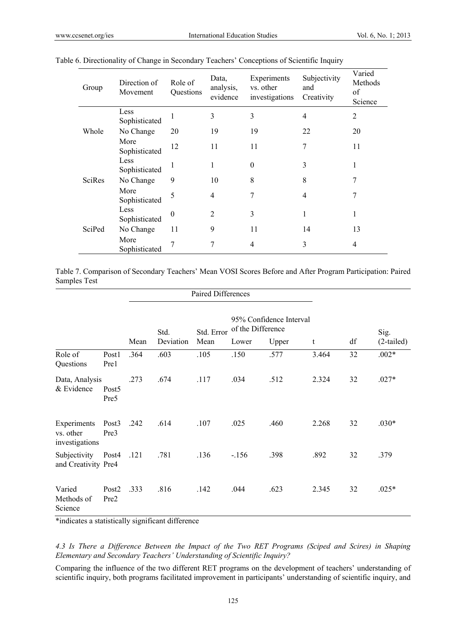| Group         | Direction of<br>Movement | Role of<br>Questions | Data,<br>analysis,<br>evidence | Experiments<br>vs. other<br>investigations | Subjectivity<br>and<br>Creativity | Varied<br>Methods<br>of<br>Science |
|---------------|--------------------------|----------------------|--------------------------------|--------------------------------------------|-----------------------------------|------------------------------------|
|               | Less<br>Sophisticated    |                      | 3                              | 3                                          | 4                                 | 2                                  |
| Whole         | No Change                | 20                   | 19                             | 19                                         | 22                                | 20                                 |
|               | More<br>Sophisticated    | 12                   | 11                             | 11                                         | 7                                 | 11                                 |
|               | Less<br>Sophisticated    |                      | 1                              | $\theta$                                   | 3                                 |                                    |
| <b>SciRes</b> | No Change                | 9                    | 10                             | 8                                          | 8                                 | 7                                  |
|               | More<br>Sophisticated    | 5                    | $\overline{4}$                 | 7                                          | 4                                 | 7                                  |
|               | Less<br>Sophisticated    | $\Omega$             | $\overline{c}$                 | 3                                          | 1                                 | 1                                  |
| SciPed        | No Change                | 11                   | 9                              | 11                                         | 14                                | 13                                 |
|               | More<br>Sophisticated    |                      | 7                              | 4                                          | 3                                 | 4                                  |

| Table 6. Directionality of Change in Secondary Teachers' Conceptions of Scientific Inquiry |  |  |  |
|--------------------------------------------------------------------------------------------|--|--|--|
|                                                                                            |  |  |  |

Table 7. Comparison of Secondary Teachers' Mean VOSI Scores Before and After Program Participation: Paired Samples Test

|                                            |                                       |      | Paired Differences                                                                                             |      |        |                      |       |    |         |
|--------------------------------------------|---------------------------------------|------|----------------------------------------------------------------------------------------------------------------|------|--------|----------------------|-------|----|---------|
|                                            |                                       | Mean | 95% Confidence Interval<br>of the Difference<br>Std. Error<br>Std.<br>Deviation<br>Mean<br>Upper<br>Lower<br>t |      | df     | Sig.<br>$(2-tailed)$ |       |    |         |
| Role of<br>Questions                       | Post1<br>Pre1                         | .364 | .603                                                                                                           | .105 | .150   | .577                 | 3.464 | 32 | $.002*$ |
| Data, Analysis<br>& Evidence               | Post <sub>5</sub><br>Pre <sub>5</sub> | .273 | .674                                                                                                           | .117 | .034   | .512                 | 2.324 | 32 | $.027*$ |
| Experiments<br>vs. other<br>investigations | Post3<br>Pre3                         | .242 | .614                                                                                                           | .107 | .025   | .460                 | 2.268 | 32 | $.030*$ |
| Subjectivity<br>and Creativity Pre4        | Post4                                 | .121 | .781                                                                                                           | .136 | $-156$ | .398                 | .892  | 32 | .379    |
| Varied<br>Methods of<br>Science            | Post <sub>2</sub><br>Pre2             | .333 | .816                                                                                                           | .142 | .044   | .623                 | 2.345 | 32 | $.025*$ |

\*indicates a statistically significant difference

*4.3 Is There a Difference Between the Impact of the Two RET Programs (Sciped and Scires) in Shaping Elementary and Secondary Teachers' Understanding of Scientific Inquiry?* 

Comparing the influence of the two different RET programs on the development of teachers' understanding of scientific inquiry, both programs facilitated improvement in participants' understanding of scientific inquiry, and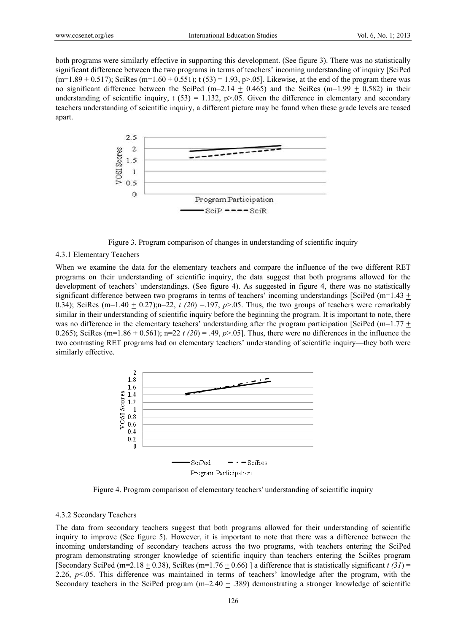both programs were similarly effective in supporting this development. (See figure 3). There was no statistically significant difference between the two programs in terms of teachers' incoming understanding of inquiry [SciPed (m=1.89 + 0.517); SciRes (m=1.60 + 0.551);  $t$  (53) = 1.93, p>.05]. Likewise, at the end of the program there was no significant difference between the SciPed (m=2.14  $\pm$  0.465) and the SciRes (m=1.99  $\pm$  0.582) in their understanding of scientific inquiry, t (53) = 1.132, p>.05. Given the difference in elementary and secondary teachers understanding of scientific inquiry, a different picture may be found when these grade levels are teased apart.



Figure 3. Program comparison of changes in understanding of scientific inquiry

#### 4.3.1 Elementary Teachers

When we examine the data for the elementary teachers and compare the influence of the two different RET programs on their understanding of scientific inquiry, the data suggest that both programs allowed for the development of teachers' understandings. (See figure 4). As suggested in figure 4, there was no statistically significant difference between two programs in terms of teachers' incoming understandings [SciPed (m=1.43  $\pm$ ) 0.34); SciRes (m=1.40  $\pm$  0.27);n=22, *t* (20) =.197, *p*>.05. Thus, the two groups of teachers were remarkably similar in their understanding of scientific inquiry before the beginning the program. It is important to note, there was no difference in the elementary teachers' understanding after the program participation [SciPed (m=1.77 + 0.265); SciRes (m=1.86  $\pm$  0.561); n=22 *t* (20) = .49,  $p$ >.05]. Thus, there were no differences in the influence the two contrasting RET programs had on elementary teachers' understanding of scientific inquiry—they both were similarly effective.



Figure 4. Program comparison of elementary teachers' understanding of scientific inquiry

#### 4.3.2 Secondary Teachers

The data from secondary teachers suggest that both programs allowed for their understanding of scientific inquiry to improve (See figure 5). However, it is important to note that there was a difference between the incoming understanding of secondary teachers across the two programs, with teachers entering the SciPed program demonstrating stronger knowledge of scientific inquiry than teachers entering the SciRes program [Secondary SciPed (m=2.18  $\pm$  0.38), SciRes (m=1.76  $\pm$  0.66)] a difference that is statistically significant *t* (31) = 2.26, *p*<.05. This difference was maintained in terms of teachers' knowledge after the program, with the Secondary teachers in the SciPed program  $(m=2.40 + .389)$  demonstrating a stronger knowledge of scientific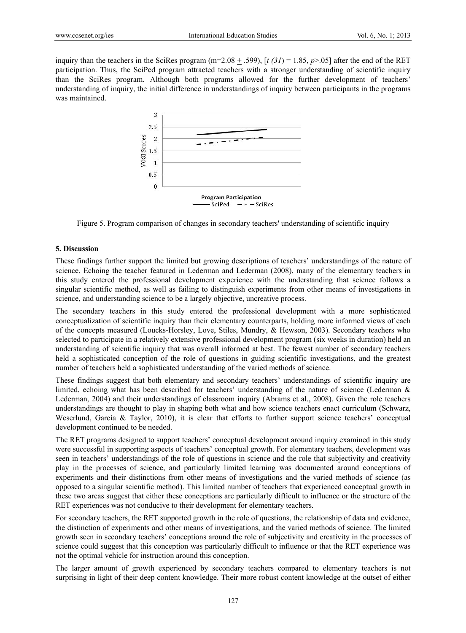inquiry than the teachers in the SciRes program (m=2.08  $\pm$  .599), [*t (31)* = 1.85, *p*>.05] after the end of the RET participation. Thus, the SciPed program attracted teachers with a stronger understanding of scientific inquiry than the SciRes program. Although both programs allowed for the further development of teachers' understanding of inquiry, the initial difference in understandings of inquiry between participants in the programs was maintained.



Figure 5. Program comparison of changes in secondary teachers' understanding of scientific inquiry

#### **5. Discussion**

These findings further support the limited but growing descriptions of teachers' understandings of the nature of science. Echoing the teacher featured in Lederman and Lederman (2008), many of the elementary teachers in this study entered the professional development experience with the understanding that science follows a singular scientific method, as well as failing to distinguish experiments from other means of investigations in science, and understanding science to be a largely objective, uncreative process.

The secondary teachers in this study entered the professional development with a more sophisticated conceptualization of scientific inquiry than their elementary counterparts, holding more informed views of each of the concepts measured (Loucks-Horsley, Love, Stiles, Mundry, & Hewson, 2003). Secondary teachers who selected to participate in a relatively extensive professional development program (six weeks in duration) held an understanding of scientific inquiry that was overall informed at best. The fewest number of secondary teachers held a sophisticated conception of the role of questions in guiding scientific investigations, and the greatest number of teachers held a sophisticated understanding of the varied methods of science.

These findings suggest that both elementary and secondary teachers' understandings of scientific inquiry are limited, echoing what has been described for teachers' understanding of the nature of science (Lederman & Lederman, 2004) and their understandings of classroom inquiry (Abrams et al., 2008). Given the role teachers understandings are thought to play in shaping both what and how science teachers enact curriculum (Schwarz, Weserlund, Garcia & Taylor, 2010), it is clear that efforts to further support science teachers' conceptual development continued to be needed.

The RET programs designed to support teachers' conceptual development around inquiry examined in this study were successful in supporting aspects of teachers' conceptual growth. For elementary teachers, development was seen in teachers' understandings of the role of questions in science and the role that subjectivity and creativity play in the processes of science, and particularly limited learning was documented around conceptions of experiments and their distinctions from other means of investigations and the varied methods of science (as opposed to a singular scientific method). This limited number of teachers that experienced conceptual growth in these two areas suggest that either these conceptions are particularly difficult to influence or the structure of the RET experiences was not conducive to their development for elementary teachers.

For secondary teachers, the RET supported growth in the role of questions, the relationship of data and evidence, the distinction of experiments and other means of investigations, and the varied methods of science. The limited growth seen in secondary teachers' conceptions around the role of subjectivity and creativity in the processes of science could suggest that this conception was particularly difficult to influence or that the RET experience was not the optimal vehicle for instruction around this conception.

The larger amount of growth experienced by secondary teachers compared to elementary teachers is not surprising in light of their deep content knowledge. Their more robust content knowledge at the outset of either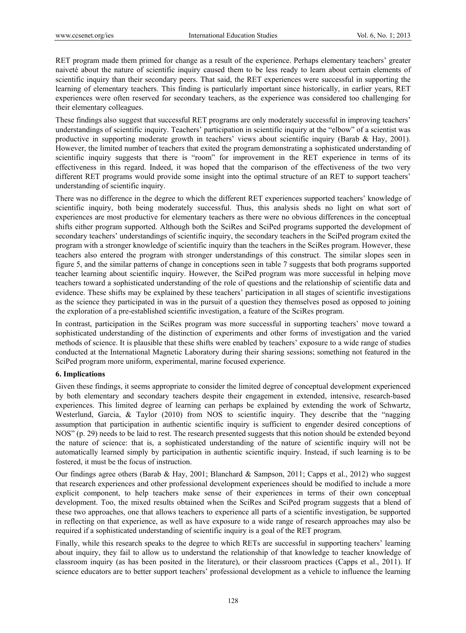RET program made them primed for change as a result of the experience. Perhaps elementary teachers' greater naiveté about the nature of scientific inquiry caused them to be less ready to learn about certain elements of scientific inquiry than their secondary peers. That said, the RET experiences were successful in supporting the learning of elementary teachers. This finding is particularly important since historically, in earlier years, RET experiences were often reserved for secondary teachers, as the experience was considered too challenging for their elementary colleagues.

These findings also suggest that successful RET programs are only moderately successful in improving teachers' understandings of scientific inquiry. Teachers' participation in scientific inquiry at the "elbow" of a scientist was productive in supporting moderate growth in teachers' views about scientific inquiry (Barab & Hay, 2001). However, the limited number of teachers that exited the program demonstrating a sophisticated understanding of scientific inquiry suggests that there is "room" for improvement in the RET experience in terms of its effectiveness in this regard. Indeed, it was hoped that the comparison of the effectiveness of the two very different RET programs would provide some insight into the optimal structure of an RET to support teachers' understanding of scientific inquiry.

There was no difference in the degree to which the different RET experiences supported teachers' knowledge of scientific inquiry, both being moderately successful. Thus, this analysis sheds no light on what sort of experiences are most productive for elementary teachers as there were no obvious differences in the conceptual shifts either program supported. Although both the SciRes and SciPed programs supported the development of secondary teachers' understandings of scientific inquiry, the secondary teachers in the SciPed program exited the program with a stronger knowledge of scientific inquiry than the teachers in the SciRes program. However, these teachers also entered the program with stronger understandings of this construct. The similar slopes seen in figure 5, and the similar patterns of change in conceptions seen in table 7 suggests that both programs supported teacher learning about scientific inquiry. However, the SciPed program was more successful in helping move teachers toward a sophisticated understanding of the role of questions and the relationship of scientific data and evidence. These shifts may be explained by these teachers' participation in all stages of scientific investigations as the science they participated in was in the pursuit of a question they themselves posed as opposed to joining the exploration of a pre-established scientific investigation, a feature of the SciRes program.

In contrast, participation in the SciRes program was more successful in supporting teachers' move toward a sophisticated understanding of the distinction of experiments and other forms of investigation and the varied methods of science. It is plausible that these shifts were enabled by teachers' exposure to a wide range of studies conducted at the International Magnetic Laboratory during their sharing sessions; something not featured in the SciPed program more uniform, experimental, marine focused experience.

## **6. Implications**

Given these findings, it seems appropriate to consider the limited degree of conceptual development experienced by both elementary and secondary teachers despite their engagement in extended, intensive, research-based experiences. This limited degree of learning can perhaps be explained by extending the work of Schwartz, Westerlund, Garcia, & Taylor (2010) from NOS to scientific inquiry. They describe that the "nagging assumption that participation in authentic scientific inquiry is sufficient to engender desired conceptions of NOS" (p. 29) needs to be laid to rest. The research presented suggests that this notion should be extended beyond the nature of science: that is, a sophisticated understanding of the nature of scientific inquiry will not be automatically learned simply by participation in authentic scientific inquiry. Instead, if such learning is to be fostered, it must be the focus of instruction.

Our findings agree others (Barab & Hay, 2001; Blanchard & Sampson, 2011; Capps et al., 2012) who suggest that research experiences and other professional development experiences should be modified to include a more explicit component, to help teachers make sense of their experiences in terms of their own conceptual development. Too, the mixed results obtained when the SciRes and SciPed program suggests that a blend of these two approaches, one that allows teachers to experience all parts of a scientific investigation, be supported in reflecting on that experience, as well as have exposure to a wide range of research approaches may also be required if a sophisticated understanding of scientific inquiry is a goal of the RET program.

Finally, while this research speaks to the degree to which RETs are successful in supporting teachers' learning about inquiry, they fail to allow us to understand the relationship of that knowledge to teacher knowledge of classroom inquiry (as has been posited in the literature), or their classroom practices (Capps et al., 2011). If science educators are to better support teachers' professional development as a vehicle to influence the learning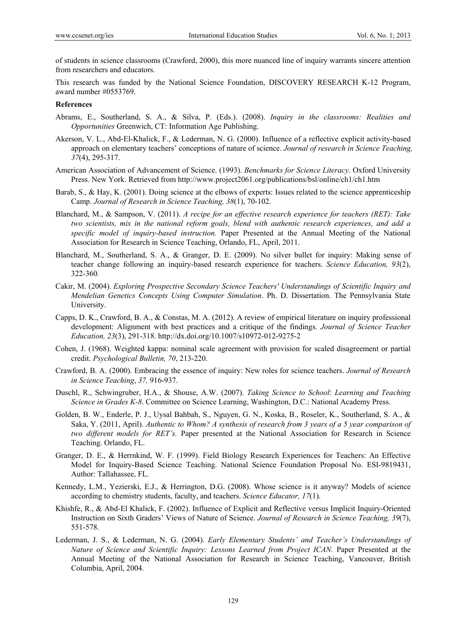of students in science classrooms (Crawford, 2000), this more nuanced line of inquiry warrants sincere attention from researchers and educators.

This research was funded by the National Science Foundation, DISCOVERY RESEARCH K-12 Program, award number #0553769.

#### **References**

- Abrams, E., Southerland, S. A., & Silva, P. (Eds.). (2008). *Inquiry in the classrooms: Realities and Opportunities* Greenwich, CT: Information Age Publishing.
- Akerson, V. L., Abd-El-Khalick, F., & Lederman, N. G. (2000). Influence of a reflective explicit activity-based approach on elementary teachers' conceptions of nature of science. *Journal of research in Science Teaching, 37*(4), 295-317.
- American Association of Advancement of Science. (1993). *Benchmarks for Science Literacy*. Oxford University Press. New York. Retrieved from http://www.project2061.org/publications/bsl/online/ch1/ch1.htm
- Barab, S., & Hay, K. (2001). Doing science at the elbows of experts: Issues related to the science apprenticeship Camp. *Journal of Research in Science Teaching, 38*(1), 70-102.
- Blanchard, M., & Sampson, V. (2011). *A recipe for an effective research experience for teachers (RET): Take two scientists, mix in the national reform goals, blend with authentic research experiences, and add a specific model of inquiry-based instruction.* Paper Presented at the Annual Meeting of the National Association for Research in Science Teaching, Orlando, FL, April, 2011.
- Blanchard, M., Southerland, S. A., & Granger, D. E. (2009). No silver bullet for inquiry: Making sense of teacher change following an inquiry-based research experience for teachers. *Science Education, 93*(2), 322-360*.*
- Cakir, M. (2004). *Exploring Prospective Secondary Science Teachers' Understandings of Scientific Inquiry and Mendelian Genetics Concepts Using Computer Simulation*. Ph. D. Dissertation. The Pennsylvania State University.
- Capps, D. K., Crawford, B. A., & Constas, M. A. (2012). A review of empirical literature on inquiry professional development: Alignment with best practices and a critique of the findings. *Journal of Science Teacher Education, 23*(3), 291-318. http://dx.doi.org/10.1007/s10972-012-9275-2
- Cohen, J. (1968). Weighted kappa: nominal scale agreement with provision for scaled disagreement or partial credit. *Psychological Bulletin, 70*, 213-220.
- Crawford, B. A. (2000). Embracing the essence of inquiry: New roles for science teachers. *Journal of Research in Science Teaching*, *37,* 916-937.
- Duschl, R., Schwingruber, H.A., & Shouse, A.W. (2007). *Taking Science to School*: *Learning and Teaching Science in Grades K-8*. Committee on Science Learning, Washington, D.C.: National Academy Press.
- Golden, B. W., Enderle, P. J., Uysal Bahbah, S., Nguyen, G. N., Koska, B., Roseler, K., Southerland, S. A., & Saka, Y. (2011, April). *Authentic to Whom? A synthesis of research from 3 years of a 5 year comparison of two different models for RET's.* Paper presented at the National Association for Research in Science Teaching. Orlando, FL.
- Granger, D. E., & Herrnkind, W. F. (1999). Field Biology Research Experiences for Teachers: An Effective Model for Inquiry-Based Science Teaching. National Science Foundation Proposal No. ESI-9819431, Author: Tallahassee, FL.
- Kennedy, L.M., Yezierski, E.J., & Herrington, D.G. (2008). Whose science is it anyway? Models of science according to chemistry students, faculty, and teachers. *Science Educator, 17*(1).
- Khishfe, R., & Abd-El Khalick, F. (2002). Influence of Explicit and Reflective versus Implicit Inquiry-Oriented Instruction on Sixth Graders' Views of Nature of Science. *Journal of Research in Science Teaching, 39*(7), 551-578.
- Lederman, J. S., & Lederman, N. G. (2004). *Early Elementary Students' and Teacher's Understandings of*  Nature of Science and Scientific Inquiry: Lessons Learned from Project ICAN. Paper Presented at the Annual Meeting of the National Association for Research in Science Teaching, Vancouver, British Columbia, April, 2004.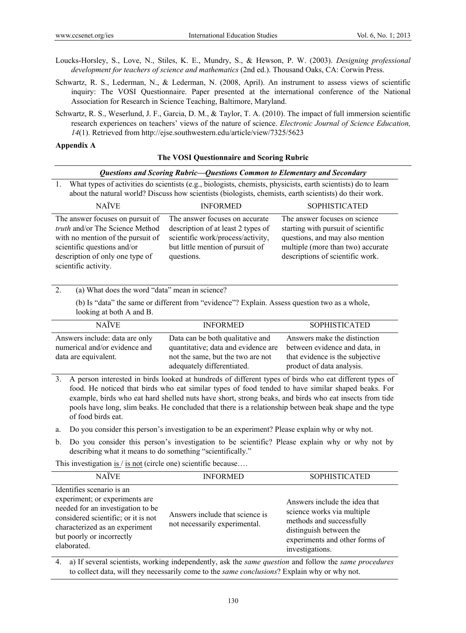Loucks-Horsley, S., Love, N., Stiles, K. E., Mundry, S., & Hewson, P. W. (2003). *Designing professional development for teachers of science and mathematics* (2nd ed.). Thousand Oaks, CA: Corwin Press.

- Schwartz, R. S., Lederman, N., & Lederman, N. (2008, April). An instrument to assess views of scientific inquiry: The VOSI Questionnaire. Paper presented at the international conference of the National Association for Research in Science Teaching, Baltimore, Maryland.
- Schwartz, R. S., Weserlund, J. F., Garcia, D. M., & Taylor, T. A. (2010). The impact of full immersion scientific research experiences on teachers' views of the nature of science. *Electronic Journal of Science Education, 14*(1). Retrieved from http://ejse.southwestern.edu/article/view/7325/5623

#### **Appendix A**

#### **The VOSI Questionnaire and Scoring Rubric**

| <b>Questions and Scoring Rubric-Questions Common to Elementary and Secondary</b>                                                                                                                                                           |                                                                                                                                                             |                                                                                                                                                                                  |  |  |  |  |  |  |
|--------------------------------------------------------------------------------------------------------------------------------------------------------------------------------------------------------------------------------------------|-------------------------------------------------------------------------------------------------------------------------------------------------------------|----------------------------------------------------------------------------------------------------------------------------------------------------------------------------------|--|--|--|--|--|--|
| What types of activities do scientists (e.g., biologists, chemists, physicists, earth scientists) do to learn<br>$\mathbf{1}$ .<br>about the natural world? Discuss how scientists (biologists, chemists, earth scientists) do their work. |                                                                                                                                                             |                                                                                                                                                                                  |  |  |  |  |  |  |
| <b>NAÏVE</b>                                                                                                                                                                                                                               | <b>INFORMED</b>                                                                                                                                             | <b>SOPHISTICATED</b>                                                                                                                                                             |  |  |  |  |  |  |
| The answer focuses on pursuit of<br>truth and/or The Science Method<br>with no mention of the pursuit of<br>scientific questions and/or<br>description of only one type of<br>scientific activity.                                         | The answer focuses on accurate<br>description of at least 2 types of<br>scientific work/process/activity,<br>but little mention of pursuit of<br>questions. | The answer focuses on science<br>starting with pursuit of scientific<br>questions, and may also mention<br>multiple (more than two) accurate<br>descriptions of scientific work. |  |  |  |  |  |  |

2. (a) What does the word "data" mean in science?

(b) Is "data" the same or different from "evidence"? Explain. Assess question two as a whole, looking at both A and B.

| <b>NAÏVE</b>                                                                            | <b>INFORMED</b>                                                                                                                            | <b>SOPHISTICATED</b>                                                                                                          |
|-----------------------------------------------------------------------------------------|--------------------------------------------------------------------------------------------------------------------------------------------|-------------------------------------------------------------------------------------------------------------------------------|
| Answers include: data are only<br>numerical and/or evidence and<br>data are equivalent. | Data can be both qualitative and<br>quantitative; data and evidence are<br>not the same, but the two are not<br>adequately differentiated. | Answers make the distinction<br>between evidence and data, in<br>that evidence is the subjective<br>product of data analysis. |

- 3. A person interested in birds looked at hundreds of different types of birds who eat different types of food. He noticed that birds who eat similar types of food tended to have similar shaped beaks. For example, birds who eat hard shelled nuts have short, strong beaks, and birds who eat insects from tide pools have long, slim beaks. He concluded that there is a relationship between beak shape and the type of food birds eat.
- a. Do you consider this person's investigation to be an experiment? Please explain why or why not.
- b. Do you consider this person's investigation to be scientific? Please explain why or why not by describing what it means to do something "scientifically."

This investigation is / is not (circle one) scientific because....

| <b>NAÏVE</b>                                                                                                                                                                                                          | <b>INFORMED</b>                                                  | <b>SOPHISTICATED</b>                                                                                                                                                    |
|-----------------------------------------------------------------------------------------------------------------------------------------------------------------------------------------------------------------------|------------------------------------------------------------------|-------------------------------------------------------------------------------------------------------------------------------------------------------------------------|
| Identifies scenario is an<br>experiment; or experiments are<br>needed for an investigation to be<br>considered scientific; or it is not<br>characterized as an experiment<br>but poorly or incorrectly<br>elaborated. | Answers include that science is<br>not necessarily experimental. | Answers include the idea that<br>science works via multiple<br>methods and successfully<br>distinguish between the<br>experiments and other forms of<br>investigations. |

4. a) If several scientists, working independently, ask the *same question* and follow the *same procedures* to collect data, will they necessarily come to the *same conclusions*? Explain why or why not.